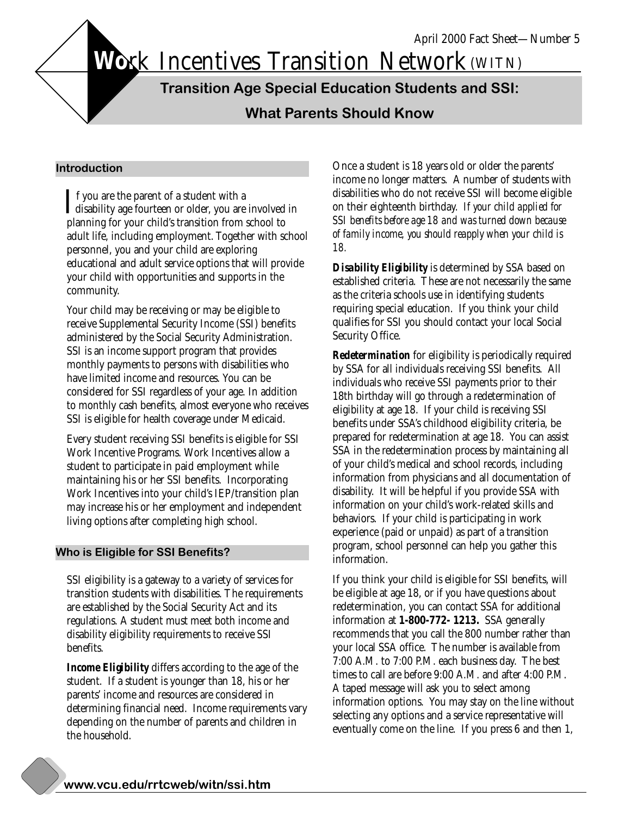Work Incentives Transition Network (WITN)

**Transition Age Special Education Students and SSI:**

**What Parents Should Know**

#### **Introduction**

If you are the parent of a student with a<br>disability age fourteen or older, you are involved in<br>planning for your obild's transition from school to planning for your child's transition from school to adult life, including employment. Together with school personnel, you and your child are exploring educational and adult service options that will provide your child with opportunities and supports in the community.  $\blacksquare$  f you are the parent of a student with a

Your child may be receiving or may be eligible to receive Supplemental Security Income (SSI) benefits administered by the Social Security Administration. SSI is an income support program that provides monthly payments to persons with disabilities who have limited income and resources. You can be considered for SSI regardless of your age. In addition to monthly cash benefits, almost everyone who receives SSI is eligible for health coverage under Medicaid.

Every student receiving SSI benefits is eligible for SSI Work Incentive Programs. Work Incentives allow a student to participate in paid employment while maintaining his or her SSI benefits. Incorporating Work Incentives into your child's IEP/transition plan may increase his or her employment and independent living options after completing high school.

#### **Who is Eligible for SSI Benefits?**

SSI eligibility is a gateway to a variety of services for transition students with disabilities. The requirements are established by the Social Security Act and its regulations. A student must meet both income and disability eligibility requirements to receive SSI benefits.

*Income Eligibility* differs according to the age of the student. If a student is younger than 18, his or her parents' income and resources are considered in determining financial need. Income requirements vary depending on the number of parents and children in the household.

Once a student is 18 years old or older the parents' income no longer matters. A number of students with disabilities who do not receive SSI will become eligible on their eighteenth birthday. *If your child applied for SSI benefits before age 18 and was turned down because of family income, you should reapply when your child is 18.*

*Disability Eligibility* is determined by SSA based on established criteria. These are not necessarily the same as the criteria schools use in identifying students requiring special education. If you think your child qualifies for SSI you should contact your local Social Security Office.

*Redetermination* for eligibility is periodically required by SSA for all individuals receiving SSI benefits. All individuals who receive SSI payments prior to their 18th birthday will go through a redetermination of eligibility at age 18. If your child is receiving SSI benefits under SSA's childhood eligibility criteria, be prepared for redetermination at age 18. You can assist SSA in the redetermination process by maintaining all of your child's medical and school records, including information from physicians and all documentation of disability. It will be helpful if you provide SSA with information on your child's work-related skills and behaviors. If your child is participating in work experience (paid or unpaid) as part of a transition program, school personnel can help you gather this information.

If you think your child is eligible for SSI benefits, will be eligible at age 18, or if you have questions about redetermination, you can contact SSA for additional information at **1-800-772- 1213.** SSA generally recommends that you call the 800 number rather than your local SSA office. The number is available from 7:00 A.M. to 7:00 P.M. each business day. The best times to call are before 9:00 A.M. and after 4:00 P.M. A taped message will ask you to select among information options. You may stay on the line without selecting any options and a service representative will eventually come on the line. If you press 6 and then 1,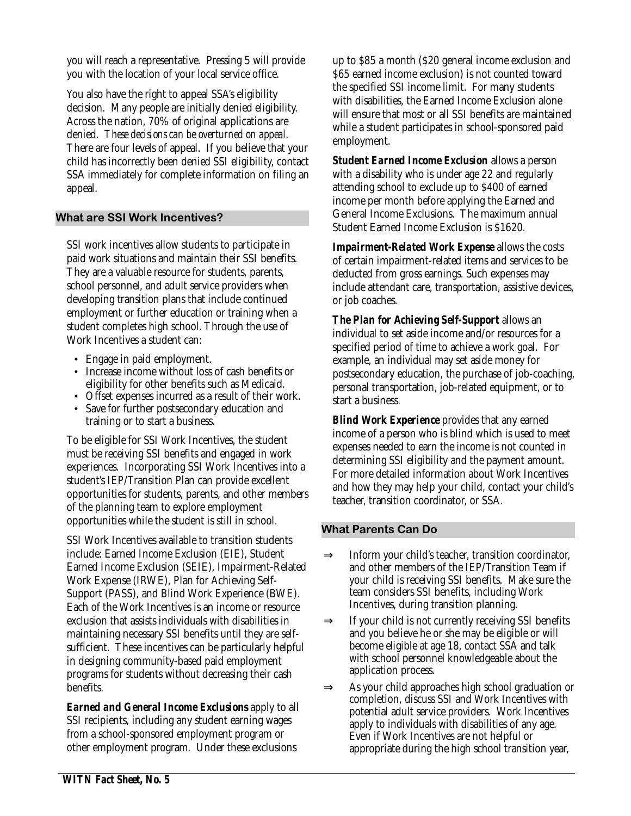you will reach a representative. Pressing 5 will provide you with the location of your local service office.

You also have the right to appeal SSA's eligibility decision. Many people are initially denied eligibility. Across the nation, 70% of original applications are denied. *These decisions can be overturned on appeal.* There are four levels of appeal. If you believe that your child has incorrectly been denied SSI eligibility, contact SSA immediately for complete information on filing an appeal.

## **What are SSI Work Incentives?**

SSI work incentives allow students to participate in paid work situations and maintain their SSI benefits. They are a valuable resource for students, parents, school personnel, and adult service providers when developing transition plans that include continued employment or further education or training when a student completes high school. Through the use of Work Incentives a student can:

- Engage in paid employment.
- Increase income without loss of cash benefits or eligibility for other benefits such as Medicaid.
- Offset expenses incurred as a result of their work.
- Save for further postsecondary education and training or to start a business.

To be eligible for SSI Work Incentives, the student must be receiving SSI benefits and engaged in work experiences. Incorporating SSI Work Incentives into a student's IEP/Transition Plan can provide excellent opportunities for students, parents, and other members of the planning team to explore employment opportunities while the student is still in school.

SSI Work Incentives available to transition students include: Earned Income Exclusion (EIE), Student Earned Income Exclusion (SEIE), Impairment-Related Work Expense (IRWE), Plan for Achieving Self-Support (PASS), and Blind Work Experience (BWE). Each of the Work Incentives is an income or resource exclusion that assists individuals with disabilities in maintaining necessary SSI benefits until they are selfsufficient. These incentives can be particularly helpful in designing community-based paid employment programs for students without decreasing their cash benefits.

*Earned and General Income Exclusions* apply to all SSI recipients, including any student earning wages from a school-sponsored employment program or other employment program. Under these exclusions

up to \$85 a month (\$20 general income exclusion and \$65 earned income exclusion) is not counted toward the specified SSI income limit. For many students with disabilities, the Earned Income Exclusion alone will ensure that most or all SSI benefits are maintained while a student participates in school-sponsored paid employment.

*Student Earned Income Exclusion* allows a person with a disability who is under age 22 and regularly attending school to exclude up to \$400 of earned income per month before applying the Earned and General Income Exclusions. The maximum annual Student Earned Income Exclusion is \$1620.

*Impairment-Related Work Expense* allows the costs of certain impairment-related items and services to be deducted from gross earnings. Such expenses may include attendant care, transportation, assistive devices, or job coaches.

*The Plan for Achieving Self-Support* allows an individual to set aside income and/or resources for a specified period of time to achieve a work goal. For example, an individual may set aside money for postsecondary education, the purchase of job-coaching, personal transportation, job-related equipment, or to start a business.

*Blind Work Experience* provides that any earned income of a person who is blind which is used to meet expenses needed to earn the income is not counted in determining SSI eligibility and the payment amount. For more detailed information about Work Incentives and how they may help your child, contact your child's teacher, transition coordinator, or SSA.

# **What Parents Can Do**

- ⇒ Inform your child's teacher, transition coordinator, and other members of the IEP/Transition Team if your child is receiving SSI benefits. Make sure the team considers SSI benefits, including Work Incentives, during transition planning.
- $\Rightarrow$  If your child is not currently receiving SSI benefits and you believe he or she may be eligible or will become eligible at age 18, contact SSA and talk with school personnel knowledgeable about the application process.
- ⇒ As your child approaches high school graduation or completion, discuss SSI and Work Incentives with potential adult service providers. Work Incentives apply to individuals with disabilities of any age. Even if Work Incentives are not helpful or appropriate during the high school transition year,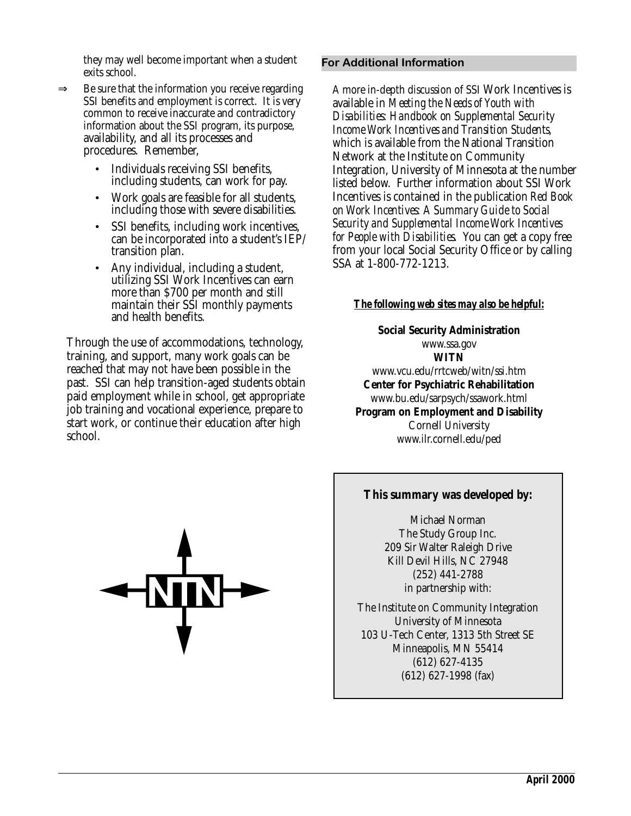they may well become important when a student exits school.

- $\Rightarrow$  Be sure that the information you receive regarding SSI benefits and employment is correct. It is very common to receive inaccurate and contradictory information about the SSI program, its purpose, availability, and all its processes and procedures. Remember,
	- Individuals receiving SSI benefits, including students, can work for pay.
	- Work goals are feasible for all students, including those with severe disabilities.
	- SSI benefits, including work incentives, can be incorporated into a student's IEP/ transition plan.
	- Any individual, including a student, utilizing SSI Work Incentives can earn more than \$700 per month and still maintain their SSI monthly payments and health benefits.

Through the use of accommodations, technology, training, and support, many work goals can be reached that may not have been possible in the past. SSI can help transition-aged students obtain paid employment while in school, get appropriate job training and vocational experience, prepare to start work, or continue their education after high school.

## **For Additional Information**

A more in-depth discussion of SSI Work Incentives is available in *Meeting the Needs of Youth with Disabilities: Handbook on Supplemental Security Income Work Incentives and Transition Students,* which is available from the National Transition Network at the Institute on Community Integration, University of Minnesota at the number listed below. Further information about SSI Work Incentives is contained in the publication *Red Book on Work Incentives: A Summary Guide to Social Security and Supplemental Income Work Incentives for People with Disabilities*. You can get a copy free from your local Social Security Office or by calling SSA at 1-800-772-1213.

# *The following web sites may also be helpful:*

**Social Security Administration** www.ssa.gov **WITN** www.vcu.edu/rrtcweb/witn/ssi.htm **Center for Psychiatric Rehabilitation** www.bu.edu/sarpsych/ssawork.html **Program on Employment and Disability** Cornell University www.ilr.cornell.edu/ped

## **This summary was developed by:**

Michael Norman The Study Group Inc. 209 Sir Walter Raleigh Drive Kill Devil Hills, NC 27948 (252) 441-2788 in partnership with:

The Institute on Community Integration University of Minnesota 103 U-Tech Center, 1313 5th Street SE Minneapolis, MN 55414 (612) 627-4135 (612) 627-1998 (fax)